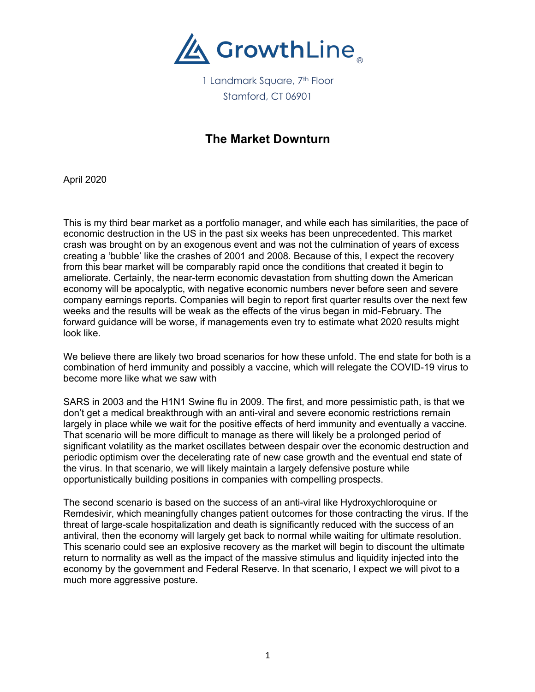

1 Landmark Square, 7<sup>th</sup> Floor Stamford, CT 06901

## **The Market Downturn**

April 2020

This is my third bear market as a portfolio manager, and while each has similarities, the pace of economic destruction in the US in the past six weeks has been unprecedented. This market crash was brought on by an exogenous event and was not the culmination of years of excess creating a 'bubble' like the crashes of 2001 and 2008. Because of this, I expect the recovery from this bear market will be comparably rapid once the conditions that created it begin to ameliorate. Certainly, the near-term economic devastation from shutting down the American economy will be apocalyptic, with negative economic numbers never before seen and severe company earnings reports. Companies will begin to report first quarter results over the next few weeks and the results will be weak as the effects of the virus began in mid-February. The forward guidance will be worse, if managements even try to estimate what 2020 results might look like.

We believe there are likely two broad scenarios for how these unfold. The end state for both is a combination of herd immunity and possibly a vaccine, which will relegate the COVID-19 virus to become more like what we saw with

SARS in 2003 and the H1N1 Swine flu in 2009. The first, and more pessimistic path, is that we don't get a medical breakthrough with an anti-viral and severe economic restrictions remain largely in place while we wait for the positive effects of herd immunity and eventually a vaccine. That scenario will be more difficult to manage as there will likely be a prolonged period of significant volatility as the market oscillates between despair over the economic destruction and periodic optimism over the decelerating rate of new case growth and the eventual end state of the virus. In that scenario, we will likely maintain a largely defensive posture while opportunistically building positions in companies with compelling prospects.

The second scenario is based on the success of an anti-viral like Hydroxychloroquine or Remdesivir, which meaningfully changes patient outcomes for those contracting the virus. If the threat of large-scale hospitalization and death is significantly reduced with the success of an antiviral, then the economy will largely get back to normal while waiting for ultimate resolution. This scenario could see an explosive recovery as the market will begin to discount the ultimate return to normality as well as the impact of the massive stimulus and liquidity injected into the economy by the government and Federal Reserve. In that scenario, I expect we will pivot to a much more aggressive posture.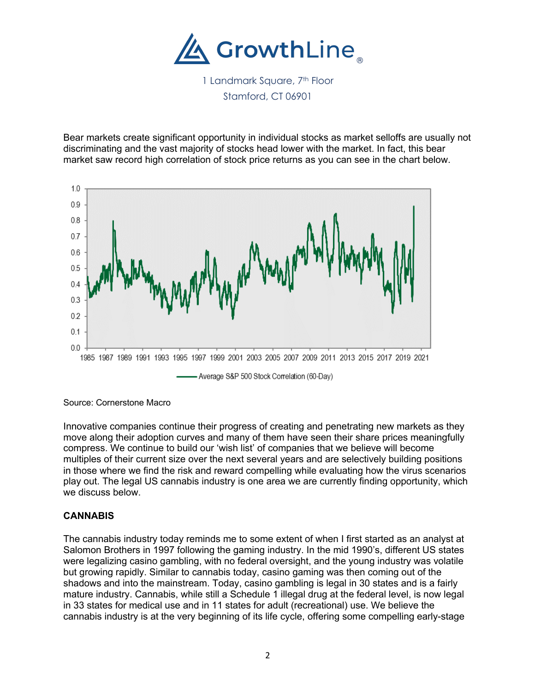

1 Landmark Square, 7<sup>th</sup> Floor Stamford, CT 06901

Bear markets create significant opportunity in individual stocks as market selloffs are usually not discriminating and the vast majority of stocks head lower with the market. In fact, this bear market saw record high correlation of stock price returns as you can see in the chart below.



Source: Cornerstone Macro

Innovative companies continue their progress of creating and penetrating new markets as they move along their adoption curves and many of them have seen their share prices meaningfully compress. We continue to build our 'wish list' of companies that we believe will become multiples of their current size over the next several years and are selectively building positions in those where we find the risk and reward compelling while evaluating how the virus scenarios play out. The legal US cannabis industry is one area we are currently finding opportunity, which we discuss below.

## **CANNABIS**

The cannabis industry today reminds me to some extent of when I first started as an analyst at Salomon Brothers in 1997 following the gaming industry. In the mid 1990's, different US states were legalizing casino gambling, with no federal oversight, and the young industry was volatile but growing rapidly. Similar to cannabis today, casino gaming was then coming out of the shadows and into the mainstream. Today, casino gambling is legal in 30 states and is a fairly mature industry. Cannabis, while still a Schedule 1 illegal drug at the federal level, is now legal in 33 states for medical use and in 11 states for adult (recreational) use. We believe the cannabis industry is at the very beginning of its life cycle, offering some compelling early-stage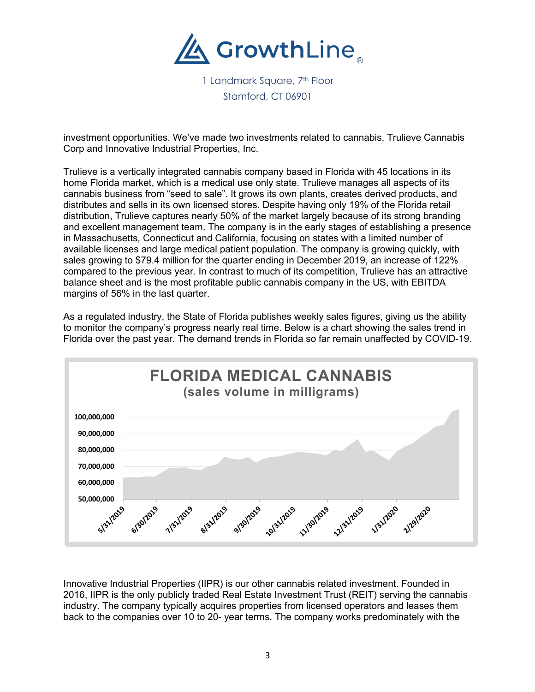

1 Landmark Square, 7<sup>th</sup> Floor Stamford, CT 06901

investment opportunities. We've made two investments related to cannabis, Trulieve Cannabis Corp and Innovative Industrial Properties, Inc.

Trulieve is a vertically integrated cannabis company based in Florida with 45 locations in its home Florida market, which is a medical use only state. Trulieve manages all aspects of its cannabis business from "seed to sale". It grows its own plants, creates derived products, and distributes and sells in its own licensed stores. Despite having only 19% of the Florida retail distribution, Trulieve captures nearly 50% of the market largely because of its strong branding and excellent management team. The company is in the early stages of establishing a presence in Massachusetts, Connecticut and California, focusing on states with a limited number of available licenses and large medical patient population. The company is growing quickly, with sales growing to \$79.4 million for the quarter ending in December 2019, an increase of 122% compared to the previous year. In contrast to much of its competition, Trulieve has an attractive balance sheet and is the most profitable public cannabis company in the US, with EBITDA margins of 56% in the last quarter.

As a regulated industry, the State of Florida publishes weekly sales figures, giving us the ability to monitor the company's progress nearly real time. Below is a chart showing the sales trend in Florida over the past year. The demand trends in Florida so far remain unaffected by COVID-19.



Innovative Industrial Properties (IIPR) is our other cannabis related investment. Founded in 2016, IIPR is the only publicly traded Real Estate Investment Trust (REIT) serving the cannabis industry. The company typically acquires properties from licensed operators and leases them back to the companies over 10 to 20- year terms. The company works predominately with the